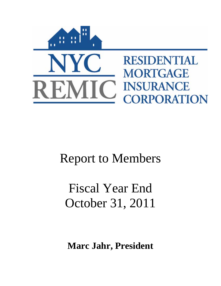

# Report to Members

# Fiscal Year End October 31, 2011

**Marc Jahr, President**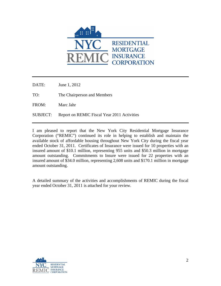

DATE: June 1, 2012

TO: The Chairperson and Members

FROM: Marc Jahr

SUBJECT: Report on REMIC Fiscal Year 2011 Activities

I am pleased to report that the New York City Residential Mortgage Insurance Corporation ("REMIC") continued its role in helping to establish and maintain the available stock of affordable housing throughout New York City during the fiscal year ended October 31, 2011. Certificates of Insurance were issued for 10 properties with an insured amount of \$10.1 million, representing 955 units and \$50.3 million in mortgage amount outstanding. Commitments to Insure were issued for 22 properties with an insured amount of \$34.0 million, representing 2,608 units and \$170.1 million in mortgage amount outstanding.

A detailed summary of the activities and accomplishments of REMIC during the fiscal year ended October 31, 2011 is attached for your review.

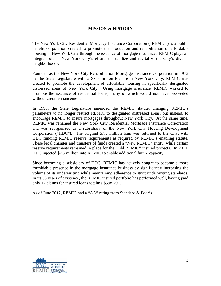### **MISSION & HISTORY**

The New York City Residential Mortgage Insurance Corporation ("REMIC") is a public benefit corporation created to promote the production and rehabilitation of affordable housing in New York City through the issuance of mortgage insurance. REMIC plays an integral role in New York City's efforts to stabilize and revitalize the City's diverse neighborhoods.

Founded as the New York City Rehabilitation Mortgage Insurance Corporation in 1973 by the State Legislature with a \$7.5 million loan from New York City, REMIC was created to promote the development of affordable housing in specifically designated distressed areas of New York City. Using mortgage insurance, REMIC worked to promote the issuance of residential loans, many of which would not have proceeded without credit enhancement.

In 1993, the State Legislature amended the REMIC statute, changing REMIC's parameters to no longer restrict REMIC to designated distressed areas, but instead, to encourage REMIC to insure mortgages throughout New York City. At the same time, REMIC was renamed the New York City Residential Mortgage Insurance Corporation and was reorganized as a subsidiary of the New York City Housing Development Corporation ("HDC"). The original \$7.5 million loan was returned to the City, with HDC funding REMIC reserve requirements as required by REMIC's enabling statute. These legal changes and transfers of funds created a "New REMIC" entity, while certain reserve requirements remained in place for the "Old REMIC" insured projects. In 2011, HDC injected \$7.5 million into REMIC to enable additional future capacity.

Since becoming a subsidiary of HDC, REMIC has actively sought to become a more formidable presence in the mortgage insurance business by significantly increasing the volume of its underwriting while maintaining adherence to strict underwriting standards. In its 38 years of existence, the REMIC insured portfolio has performed well, having paid only 12 claims for insured loans totaling \$598,291.

As of June 2012, REMIC had a "AA" rating from Standard & Poor's.

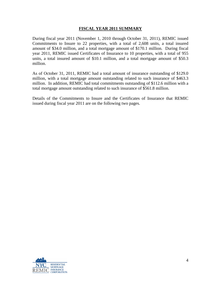#### **FISCAL YEAR 2011 SUMMARY**

During fiscal year 2011 (November 1, 2010 through October 31, 2011), REMIC issued Commitments to Insure to 22 properties, with a total of 2,608 units, a total insured amount of \$34.0 million, and a total mortgage amount of \$170.1 million. During fiscal year 2011, REMIC issued Certificates of Insurance to 10 properties, with a total of 955 units, a total insured amount of \$10.1 million, and a total mortgage amount of \$50.3 million.

As of October 31, 2011, REMIC had a total amount of insurance outstanding of \$129.0 million, with a total mortgage amount outstanding related to such insurance of \$463.3 million. In addition, REMIC had total commitments outstanding of \$112.6 million with a total mortgage amount outstanding related to such insurance of \$561.8 million.

Details of the Commitments to Insure and the Certificates of Insurance that REMIC issued during fiscal year 2011 are on the following two pages.

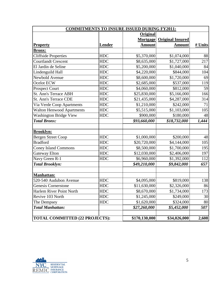| <b>COMMITMENTS TO INSURE ISSUED DURING FY2011:</b> |               |                 |                         |         |
|----------------------------------------------------|---------------|-----------------|-------------------------|---------|
|                                                    |               | <b>Original</b> |                         |         |
|                                                    |               | Mortgage        | <b>Original Insured</b> |         |
| <b>Property</b>                                    | <b>Lender</b> | <b>Amount</b>   | <b>Amount</b>           | # Units |
| Bronx:                                             |               |                 |                         |         |
| <b>Cliffside Properties</b>                        | <b>HDC</b>    | \$5,370,000     | \$1,074,000             | 88      |
| <b>Courtlandt Crescent</b>                         | <b>HDC</b>    | \$8,635,000     | \$1,727,000             | 217     |
| El Jardin de Seline                                | <b>HDC</b>    | \$5,200,000     | \$1,040,000             | 84      |
| Lindenguild Hall                                   | <b>HDC</b>    | \$4,220,000     | \$844,000               | 104     |
| Newbold Avenue                                     | <b>HDC</b>    | \$8,600,000     | \$1,720,000             | 69      |
| Ocelot ECW                                         | <b>HDC</b>    | \$2,685,000     | \$537,000               | 119     |
| <b>Prospect Court</b>                              | <b>HDC</b>    | \$4,060,000     | \$812,000               | 59      |
| St. Ann's Terrace ABH                              | <b>HDC</b>    | \$25,830,000    | \$5,166,000             | 166     |
| <b>St. Ann's Terrace CDE</b>                       | <b>HDC</b>    | \$21,435,000    | \$4,287,000             | 314     |
| Via Verde Coop Apartments                          | <b>HDC</b>    | \$1,210,000     | \$242,000               | 71      |
| <b>Walton Henwood Apartments</b>                   | <b>HDC</b>    | \$5,515,000     | \$1,103,000             | 105     |
| <b>Washington Bridge View</b>                      | <b>HDC</b>    | \$900,000       | \$180,000               | 48      |
| <b>Total Bronx:</b>                                |               | \$93,660,000    | \$18,732,000            | 1,444   |
|                                                    |               |                 |                         |         |
| <b>Brooklyn:</b>                                   |               |                 |                         |         |
| <b>Bergen Street Coop</b>                          | <b>HDC</b>    | \$1,000,000     | \$200,000               | 48      |
| <b>Bradford</b>                                    | <b>HDC</b>    | \$20,720,000    | \$4,144,000             | 105     |
| <b>Coney Island Commons</b>                        | <b>HDC</b>    | \$8,500,000     | \$1,700,000             | 195     |
| <b>Gateway Elton</b>                               | <b>HDC</b>    | \$12,030,000    | \$2,406,000             | 197     |
| Navy Green R-1                                     | <b>HDC</b>    | \$6,960,000     | \$1,392,000             | 112     |
| <b>Total Brooklyn:</b>                             |               | \$49,210,000    | \$9,842,000             | 657     |
|                                                    |               |                 |                         |         |
| <b>Manhattan:</b>                                  |               |                 |                         |         |
| 520-540 Audubon Avenue                             | <b>HDC</b>    | \$4,095,000     | \$819,000               | 138     |
| Genesis Cornerstone                                | <b>HDC</b>    | \$11,630,000    | \$2,326,000             | 86      |
| Harlem River Point North                           | <b>HDC</b>    | \$8,670,000     | \$1,734,000             | 173     |
| Revive 103 North                                   | <b>HDC</b>    | \$1,245,000     | \$249,000               | 30      |
| The Dempsey                                        | <b>HDC</b>    | \$1,620,000     | \$324,000               | 80      |
| <b>Total Manhattan:</b>                            |               | \$27,260,000    | \$5,452,000             | 507     |
|                                                    |               |                 |                         |         |
| TOTAL COMMITTED (22 PROJECTS):                     |               | \$170,130,000   | \$34,026,000            | 2,608   |

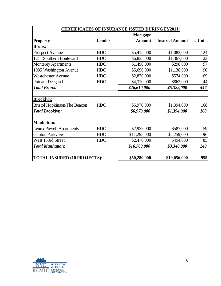| <b>CERTIFICATES OF INSURANCE ISSUED DURING FY2011:</b> |               |                 |                       |         |
|--------------------------------------------------------|---------------|-----------------|-----------------------|---------|
|                                                        |               | <b>Mortgage</b> |                       |         |
| <b>Property</b>                                        | <b>Lender</b> | <b>Amount</b>   | <b>Insured Amount</b> | # Units |
| <b>Bronx:</b>                                          |               |                 |                       |         |
| <b>Prospect Avenue</b>                                 | <b>HDC</b>    | \$5,415,000     | \$1,083,000           | 124     |
| 1211 Southern Boulevard                                | <b>HDC</b>    | \$6,835,000     | \$1,367,000           | 123     |
| <b>Monterey Apartments</b>                             | <b>HDC</b>    | \$1,490,000     | \$298,000             | 97      |
| 1085 Washington Avenue                                 | <b>HDC</b>    | \$5,690,000     | \$1,138,000           | 90      |
| <b>Westchester Avenue</b>                              | <b>HDC</b>    | \$2,870,000     | \$574,000             | 69      |
| Putnam Deegan II                                       | <b>HDC</b>    | \$4,310,000     | \$862,000             | 44      |
| <b>Total Bronx:</b>                                    |               | \$26,610,000    | \$5,322,000           | 547     |
|                                                        |               |                 |                       |         |
| <b>Brooklyn:</b>                                       |               |                 |                       |         |
| <b>Bristol Hopkinson/The Beacon</b>                    | <b>HDC</b>    | \$6,970,000     | \$1,394,000           | 168     |
| <b>Total Brooklyn:</b>                                 |               | \$6,970,000     | \$1,394,000           | 168     |
| <b>Manhattan:</b>                                      |               |                 |                       |         |
| <b>Lenox Powell Apartments</b>                         | <b>HDC</b>    | \$2,935,000     | \$587,000             | 59      |
| <b>Clinton Parkview</b>                                | <b>HDC</b>    | \$11,295,000    | \$2,259,000           | 96      |
| West 153rd Street                                      | <b>HDC</b>    | \$2,470,000     | \$494,000             | 85      |
| <b>Total Manhattan:</b>                                |               | \$16,700,000    | \$3,340,000           | 240     |
| <b>TOTAL INSURED (10 PROJECTS):</b>                    |               | \$50,280,000    | \$10,056,000          | 955     |

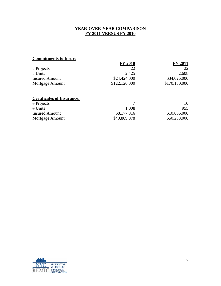## **YEAR-OVER-YEAR COMPARISON FY 2011 VERSUS FY 2010**

# **Commitments to Insure**

|                       | <b>FY 2010</b> | <b>FY 2011</b> |
|-----------------------|----------------|----------------|
| # Projects            | 22             | 22             |
| # Units               | 2.425          | 2,608          |
| <b>Insured Amount</b> | \$24,424,000   | \$34,026,000   |
| Mortgage Amount       | \$122,120,000  | \$170,130,000  |
|                       |                |                |

# **Certificates of Insurance:**

| # Projects            |              | 10           |
|-----------------------|--------------|--------------|
| # Units               | 1,008        | 955          |
| <b>Insured Amount</b> | \$8,177,816  | \$10,056,000 |
| Mortgage Amount       | \$40,889,078 | \$50,280,000 |

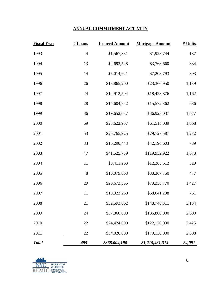# **ANNUAL COMMITMENT ACTIVITY**

| <b>Fiscal Year</b> | # Loans        | <b>Insured Amount</b> | <b>Mortgage Amount</b> | # Units |
|--------------------|----------------|-----------------------|------------------------|---------|
| 1993               | $\overline{4}$ | \$1,567,381           | \$1,928,744            | 187     |
| 1994               | 13             | \$2,693,548           | \$3,763,660            | 334     |
| 1995               | 14             | \$5,014,621           | \$7,208,793            | 393     |
| 1996               | 26             | \$18,865,200          | \$23,366,950           | 1,139   |
| 1997               | 24             | \$14,912,594          | \$18,428,876           | 1,162   |
| 1998               | 28             | \$14,604,742          | \$15,572,362           | 686     |
| 1999               | 36             | \$19,652,037          | \$36,923,037           | 1,077   |
| 2000               | 69             | \$28,622,957          | \$61,518,039           | 1,668   |
| 2001               | 53             | \$25,765,925          | \$79,727,587           | 1,232   |
| 2002               | 33             | \$16,290,443          | \$42,190,603           | 789     |
| 2003               | 47             | \$41,525,739          | \$119,952,922          | 1,673   |
| 2004               | 11             | \$8,411,263           | \$12,285,612           | 329     |
| 2005               | $8\,$          | \$10,079,063          | \$33,367,750           | 477     |
| 2006               | 29             | \$20,673,355          | \$73,358,770           | 1,427   |
| 2007               | 11             | \$10,922,260          | \$58,041,298           | 751     |
| 2008               | 21             | \$32,593,062          | \$148,746,311          | 3,134   |
| 2009               | 24             | \$37,360,000          | \$186,800,000          | 2,600   |
| 2010               | 22             | \$24,424,000          | \$122,120,000          | 2,425   |
| 2011               | 22             | \$34,026,000          | \$170,130,000          | 2,608   |
| <b>Total</b>       | 495            | \$368,004,190         | \$1,215,431,314        | 24,091  |

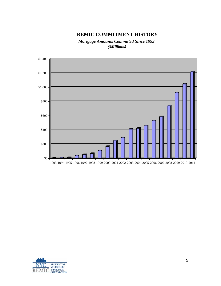# **REMIC COMMITMENT HISTORY**

*Mortgage Amounts Committed Since 1993 (\$Millions)*



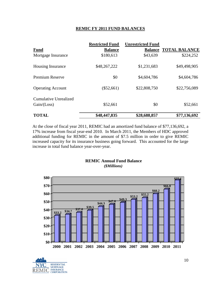### **REMIC FY 2011 FUND BALANCES**

|                                               | <b>Restricted Fund</b> | <b>Unrestricted Fund</b> |                              |
|-----------------------------------------------|------------------------|--------------------------|------------------------------|
| <b>Fund</b>                                   | <b>Balance</b>         |                          | <b>Balance TOTAL BALANCE</b> |
| Mortgage Insurance                            | \$180,613              | \$43,639                 | \$224,252                    |
| <b>Housing Insurance</b>                      | \$48,267,222           | \$1,231,683              | \$49,498,905                 |
| <b>Premium Reserve</b>                        | \$0                    | \$4,604,786              | \$4,604,786                  |
| <b>Operating Account</b>                      | $(\$52,661)$           | \$22,808,750             | \$22,756,089                 |
| <b>Cumulative Unrealized</b><br>Gain / (Loss) | \$52,661               | \$0                      | \$52,661                     |
| <b>TOTAL</b>                                  | \$48,447,835           | \$28,688,857             | \$77,136,692                 |
|                                               |                        |                          |                              |

At the close of fiscal year 2011, REMIC had an amortized fund balance of \$77,136,692, a 17% increase from fiscal year-end 2010. In March 2011, the Members of HDC approved additional funding for REMIC in the amount of \$7.5 million in order to give REMIC increased capacity for its insurance business going forward. This accounted for the large increase in total fund balance year-over-year.

## **REMIC Annual Fund Balance** *(\$Millions)*



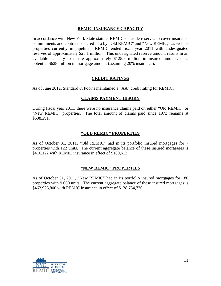### **REMIC INSURANCE CAPACITY**

In accordance with New York State statute, REMIC set aside reserves to cover insurance commitments and contracts entered into by "Old REMIC" and "New REMIC," as well as properties currently in pipeline. REMIC ended fiscal year 2011 with undesignated reserves of approximately \$25.1 million. This undesignated reserve amount results in an available capacity to insure approximately \$125.5 million in insured amount, or a potential \$628 million in mortgage amount (assuming 20% insurance).

## **CREDIT RATINGS**

As of June 2012, Standard & Poor's maintained a "AA" credit rating for REMIC.

#### **CLAIMS PAYMENT HISORY**

During fiscal year 2011, there were no insurance claims paid on either "Old REMIC" or "New REMIC" properties. The total amount of claims paid since 1973 remains at \$598,291.

#### **"OLD REMIC" PROPERTIES**

As of October 31, 2011, "Old REMIC" had in its portfolio insured mortgages for 7 properties with 122 units. The current aggregate balance of these insured mortgages is \$416,122 with REMIC insurance in effect of \$180,613.

#### **"NEW REMIC" PROPERTIES**

As of October 31, 2011, "New REMIC" had in its portfolio insured mortgages for 180 properties with 9,060 units. The current aggregate balance of these insured mortgages is \$462,926,800 with REMIC insurance in effect of \$128,784,730.

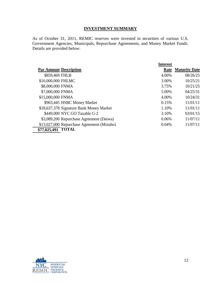## **INVESTMENT SUMMARY**

As of October 31, 2011, REMIC reserves were invested in securities of various U.S. Government Agencies, Municipals, Repurchase Agreements, and Money Market Funds. Details are provided below:

|                                            | <b>Interest</b> |                      |
|--------------------------------------------|-----------------|----------------------|
| <b>Par Amount Description</b>              | Rate            | <b>Maturity Date</b> |
| \$859,469 FHLB                             | 4.00%           | 08/26/25             |
| \$10,000,000 FHLMC                         | 3.00%           | 10/25/21             |
| \$8,000,000 FNMA                           | 3.75%           | 10/21/25             |
| \$7,000,000 FNMA                           | 5.00%           | 04/25/31             |
| \$15,000,000 FNMA                          | 4.00%           | 10/24/31             |
| \$963,445 HSBC Money Market                | 0.15%           | 11/01/11             |
| \$18,637,378 Signature Bank Money Market   | 1.10%           | 11/01/11             |
| \$449,000 NYC GO Taxable G-2               | 3.10%           | 03/01/15             |
| \$3,089,200 Repurchase Agreement (Daiwa)   | 0.06%           | 11/07/11             |
| \$13,027,000 Repurchase Agreement (Mizuho) | 0.04%           | 11/07/11             |
| \$77,025,491 TOTAL                         |                 |                      |

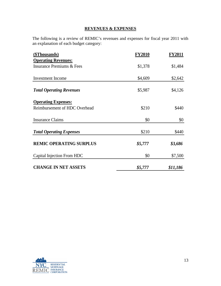## **REVENUES & EXPENSES**

The following is a review of REMIC's revenues and expenses for fiscal year 2011 with an explanation of each budget category:

| (\$Thousands)                   | <b>FY2010</b> | <b>FY2011</b> |
|---------------------------------|---------------|---------------|
| <b>Operating Revenues:</b>      |               |               |
| Insurance Premiums & Fees       | \$1,378       | \$1,484       |
|                                 |               |               |
| <b>Investment</b> Income        | \$4,609       | \$2,642       |
| <b>Total Operating Revenues</b> | \$5,987       | \$4,126       |
| <b>Operating Expenses:</b>      |               |               |
| Reimbursement of HDC Overhead   | \$210         | \$440         |
| <b>Insurance Claims</b>         | \$0           | \$0           |
| <b>Total Operating Expenses</b> | \$210         | \$440         |
| <b>REMIC OPERATING SURPLUS</b>  | \$5,777       | \$3,686       |
| Capital Injection From HDC      | \$0           | \$7,500       |
| <b>CHANGE IN NET ASSETS</b>     | \$5,777       | \$11,186      |